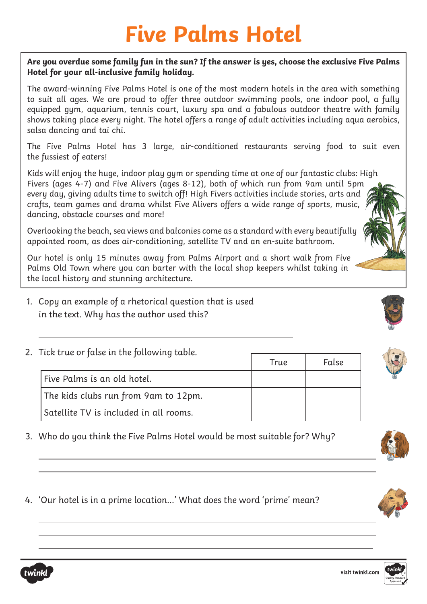## **Five Palms Hotel**

## **Are you overdue some family fun in the sun? If the answer is yes, choose the exclusive Five Palms Hotel for your all-inclusive family holiday.**

The award-winning Five Palms Hotel is one of the most modern hotels in the area with something to suit all ages. We are proud to offer three outdoor swimming pools, one indoor pool, a fully equipped gym, aquarium, tennis court, luxury spa and a fabulous outdoor theatre with family shows taking place every night. The hotel offers a range of adult activities including aqua aerobics, salsa dancing and tai chi.

The Five Palms Hotel has 3 large, air-conditioned restaurants serving food to suit even the fussiest of eaters!

Kids will enjoy the huge, indoor play gym or spending time at one of our fantastic clubs: High Fivers (ages 4-7) and Five Alivers (ages 8-12), both of which run from 9am until 5pm every day, giving adults time to switch off! High Fivers activities include stories, arts and crafts, team games and drama whilst Five Alivers offers a wide range of sports, music, dancing, obstacle courses and more!

Overlooking the beach, sea views and balconies come as a standard with every beautifully appointed room, as does air-conditioning, satellite TV and an en-suite bathroom.

Our hotel is only 15 minutes away from Palms Airport and a short walk from Five Palms Old Town where you can barter with the local shop keepers whilst taking in the local history and stunning architecture.

- 1. Copy an example of a rhetorical question that is used in the text. Why has the author used this?
- 2. Tick true or false in the following table.

| TICK LINE OF JUISE IT LITE JOILOWING LUDIE. | True                                   | False |  |
|---------------------------------------------|----------------------------------------|-------|--|
|                                             | Five Palms is an old hotel.            |       |  |
|                                             | The kids clubs run from 9am to 12pm.   |       |  |
|                                             | Satellite TV is included in all rooms. |       |  |

- 3. Who do you think the Five Palms Hotel would be most suitable for? Why?
- 4. 'Our hotel is in a prime location…' What does the word 'prime' mean?



 $\overline{a}$ 

 $\overline{a}$ 

 $\overline{a}$ 



 $\overline{a}$  $\overline{a}$ 

 $\overline{a}$  $\overline{a}$